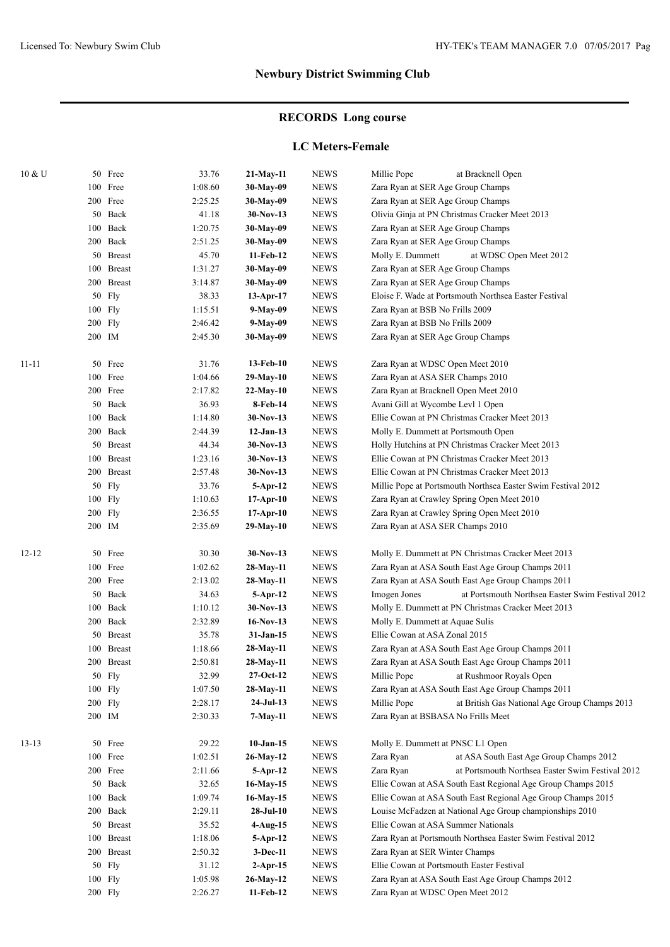# **RECORDS Long course**

### **LC Meters-Female**

| 10 & U    |    | 50 Free           | 33.76            | $21-May-11$               | <b>NEWS</b>                | Millie Pope<br>at Bracknell Open                                            |  |  |
|-----------|----|-------------------|------------------|---------------------------|----------------------------|-----------------------------------------------------------------------------|--|--|
|           |    | 100 Free          | 1:08.60          | 30-May-09                 | <b>NEWS</b>                | Zara Ryan at SER Age Group Champs                                           |  |  |
|           |    | 200 Free          | 2:25.25          | 30-May-09                 | <b>NEWS</b>                | Zara Ryan at SER Age Group Champs                                           |  |  |
|           |    | 50 Back           | 41.18            | $30-Nov-13$               | <b>NEWS</b>                | Olivia Ginja at PN Christmas Cracker Meet 2013                              |  |  |
|           |    | 100 Back          | 1:20.75          | 30-May-09                 | <b>NEWS</b>                | Zara Ryan at SER Age Group Champs                                           |  |  |
|           |    | 200 Back          | 2:51.25          | 30-May-09                 | <b>NEWS</b>                | Zara Ryan at SER Age Group Champs                                           |  |  |
|           |    | 50 Breast         | 45.70            | 11-Feb-12                 | <b>NEWS</b>                | Molly E. Dummett<br>at WDSC Open Meet 2012                                  |  |  |
|           |    | 100 Breast        | 1:31.27          | 30-May-09                 | <b>NEWS</b>                | Zara Ryan at SER Age Group Champs                                           |  |  |
|           |    | 200 Breast        | 3:14.87          | 30-May-09                 | <b>NEWS</b>                | Zara Ryan at SER Age Group Champs                                           |  |  |
|           |    | 50 Fly            | 38.33            | $13-Apr-17$               | <b>NEWS</b>                | Eloise F. Wade at Portsmouth Northsea Easter Festival                       |  |  |
|           |    | 100 Fly           | 1:15.51          | 9-May-09                  | <b>NEWS</b>                | Zara Ryan at BSB No Frills 2009                                             |  |  |
|           |    | 200 Fly           | 2:46.42          | 9-May-09                  | <b>NEWS</b>                | Zara Ryan at BSB No Frills 2009                                             |  |  |
|           |    | 200 IM            | 2:45.30          | 30-May-09                 | <b>NEWS</b>                | Zara Ryan at SER Age Group Champs                                           |  |  |
| $11 - 11$ |    | 50 Free           | 31.76            | 13-Feb-10                 | <b>NEWS</b>                | Zara Ryan at WDSC Open Meet 2010                                            |  |  |
|           |    | 100 Free          | 1:04.66          | $29-May-10$               | <b>NEWS</b>                | Zara Ryan at ASA SER Champs 2010                                            |  |  |
|           |    | 200 Free          | 2:17.82          | 22-May-10                 | <b>NEWS</b>                | Zara Ryan at Bracknell Open Meet 2010                                       |  |  |
|           |    | 50 Back           | 36.93            | 8-Feb-14                  | <b>NEWS</b>                | Avani Gill at Wycombe Levl 1 Open                                           |  |  |
|           |    | 100 Back          | 1:14.80          | $30-Nov-13$               | <b>NEWS</b>                | Ellie Cowan at PN Christmas Cracker Meet 2013                               |  |  |
|           |    | 200 Back          | 2:44.39          | $12-Jan-13$               | <b>NEWS</b>                | Molly E. Dummett at Portsmouth Open                                         |  |  |
|           |    | 50 Breast         | 44.34            | 30-Nov-13                 | <b>NEWS</b>                | Holly Hutchins at PN Christmas Cracker Meet 2013                            |  |  |
|           |    | 100 Breast        | 1:23.16          | $30-Nov-13$               | <b>NEWS</b>                | Ellie Cowan at PN Christmas Cracker Meet 2013                               |  |  |
|           |    | 200 Breast        | 2:57.48          | 30-Nov-13                 | <b>NEWS</b>                | Ellie Cowan at PN Christmas Cracker Meet 2013                               |  |  |
|           |    | 50 Fly            | 33.76            | 5-Apr-12                  | <b>NEWS</b>                | Millie Pope at Portsmouth Northsea Easter Swim Festival 2012                |  |  |
|           |    | 100 Fly           | 1:10.63          | $17-Apr-10$               | <b>NEWS</b>                | Zara Ryan at Crawley Spring Open Meet 2010                                  |  |  |
|           |    | 200 Fly           | 2:36.55          | $17-Apr-10$               | <b>NEWS</b>                | Zara Ryan at Crawley Spring Open Meet 2010                                  |  |  |
|           |    | 200 IM            | 2:35.69          | 29-May-10                 | <b>NEWS</b>                | Zara Ryan at ASA SER Champs 2010                                            |  |  |
| $12 - 12$ |    | 50 Free           | 30.30            | $30-Nov-13$               | <b>NEWS</b>                | Molly E. Dummett at PN Christmas Cracker Meet 2013                          |  |  |
|           |    | 100 Free          | 1:02.62          | 28-May-11                 | <b>NEWS</b>                | Zara Ryan at ASA South East Age Group Champs 2011                           |  |  |
|           |    | 200 Free          | 2:13.02          | 28-May-11                 | <b>NEWS</b>                | Zara Ryan at ASA South East Age Group Champs 2011                           |  |  |
|           |    | 50 Back           | 34.63            | 5-Apr-12                  | <b>NEWS</b>                | at Portsmouth Northsea Easter Swim Festival 2012<br>Imogen Jones            |  |  |
|           |    | 100 Back          | 1:10.12          | $30-Nov-13$               | <b>NEWS</b>                | Molly E. Dummett at PN Christmas Cracker Meet 2013                          |  |  |
|           |    | 200 Back          | 2:32.89          | $16-Nov-13$               | <b>NEWS</b>                | Molly E. Dummett at Aquae Sulis                                             |  |  |
|           |    | 50 Breast         | 35.78            | 31-Jan-15                 | <b>NEWS</b>                | Ellie Cowan at ASA Zonal 2015                                               |  |  |
|           |    | 100 Breast        | 1:18.66          | 28-May-11                 | <b>NEWS</b>                | Zara Ryan at ASA South East Age Group Champs 2011                           |  |  |
|           |    | 200 Breast        | 2:50.81          | 28-May-11                 | <b>NEWS</b>                | Zara Ryan at ASA South East Age Group Champs 2011                           |  |  |
|           |    | 50 Fly            | 32.99            | $27-Oct-12$               | ${\rm NEWS}$               | Millie Pope<br>at Rushmoor Royals Open                                      |  |  |
|           |    | 100 Fly           | 1:07.50          | 28-May-11                 | <b>NEWS</b>                | Zara Ryan at ASA South East Age Group Champs 2011                           |  |  |
|           |    | 200 Fly           | 2:28.17          | $24-Jul-13$               | <b>NEWS</b>                | Millie Pope<br>at British Gas National Age Group Champs 2013                |  |  |
|           |    | 200 IM            | 2:30.33          | 7-May-11                  | <b>NEWS</b>                | Zara Ryan at BSBASA No Frills Meet                                          |  |  |
| $13-13$   |    | 50 Free           | 29.22            | $10-Jan-15$               | <b>NEWS</b>                | Molly E. Dummett at PNSC L1 Open                                            |  |  |
|           |    | 100 Free          | 1:02.51          | $26$ -May-12              | <b>NEWS</b>                | Zara Ryan<br>at ASA South East Age Group Champs 2012                        |  |  |
|           |    | 200 Free          | 2:11.66          | 5-Apr-12                  | <b>NEWS</b>                | at Portsmouth Northsea Easter Swim Festival 2012<br>Zara Ryan               |  |  |
|           |    | 50 Back           | 32.65            | $16$ -May-15              | <b>NEWS</b>                | Ellie Cowan at ASA South East Regional Age Group Champs 2015                |  |  |
|           |    | 100 Back          | 1:09.74          | 16-May-15                 | <b>NEWS</b>                | Ellie Cowan at ASA South East Regional Age Group Champs 2015                |  |  |
|           |    | 200 Back          | 2:29.11          | $28-JuI-10$               | <b>NEWS</b>                | Louise McFadzen at National Age Group championships 2010                    |  |  |
|           |    | 50 Breast         | 35.52            | $4-Aug-15$                | <b>NEWS</b>                | Ellie Cowan at ASA Summer Nationals                                         |  |  |
|           |    | 100 Breast        | 1:18.06          | $5-Apr-12$                | <b>NEWS</b>                | Zara Ryan at Portsmouth Northsea Easter Swim Festival 2012                  |  |  |
|           | 50 | 200 Breast<br>Fly | 2:50.32<br>31.12 | $3-Dec-11$<br>$2$ -Apr-15 | <b>NEWS</b><br><b>NEWS</b> | Zara Ryan at SER Winter Champs<br>Ellie Cowan at Portsmouth Easter Festival |  |  |
|           |    | 100 Fly           | 1:05.98          | $26$ -May-12              | <b>NEWS</b>                | Zara Ryan at ASA South East Age Group Champs 2012                           |  |  |
|           |    | 200 Fly           | 2:26.27          | 11-Feb-12                 | <b>NEWS</b>                | Zara Ryan at WDSC Open Meet 2012                                            |  |  |
|           |    |                   |                  |                           |                            |                                                                             |  |  |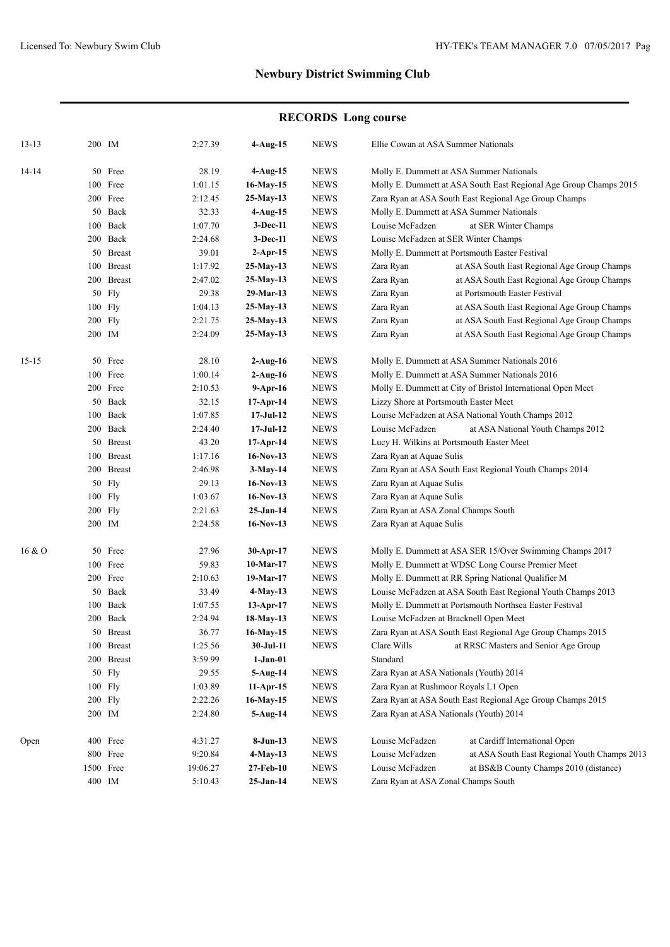|           |        |            |          |             | <b>RECORDS</b> Long course |                                         |                                                                   |  |  |
|-----------|--------|------------|----------|-------------|----------------------------|-----------------------------------------|-------------------------------------------------------------------|--|--|
| $13 - 13$ |        | 200 IM     | 2:27.39  | $4-Aug-15$  | <b>NEWS</b>                | Ellie Cowan at ASA Summer Nationals     |                                                                   |  |  |
| 14-14     |        | 50 Free    | 28.19    | 4-Aug-15    | <b>NEWS</b>                |                                         | Molly E. Dummett at ASA Summer Nationals                          |  |  |
|           |        | 100 Free   | 1:01.15  | 16-May-15   | <b>NEWS</b>                |                                         | Molly E. Dummett at ASA South East Regional Age Group Champs 2015 |  |  |
|           |        | 200 Free   | 2:12.45  | $25-May-13$ | <b>NEWS</b>                |                                         | Zara Ryan at ASA South East Regional Age Group Champs             |  |  |
|           |        | 50 Back    | 32.33    | 4-Aug-15    | <b>NEWS</b>                |                                         | Molly E. Dummett at ASA Summer Nationals                          |  |  |
|           |        | 100 Back   | 1:07.70  | 3-Dec-11    | <b>NEWS</b>                | Louise McFadzen                         | at SER Winter Champs                                              |  |  |
|           |        | 200 Back   | 2:24.68  | 3-Dec-11    | <b>NEWS</b>                | Louise McFadzen at SER Winter Champs    |                                                                   |  |  |
|           |        | 50 Breast  | 39.01    | $2$ -Apr-15 | <b>NEWS</b>                |                                         | Molly E. Dummett at Portsmouth Easter Festival                    |  |  |
|           |        | 100 Breast | 1:17.92  | 25-May-13   | <b>NEWS</b>                | Zara Ryan                               | at ASA South East Regional Age Group Champs                       |  |  |
|           |        | 200 Breast | 2:47.02  | 25-May-13   | <b>NEWS</b>                | Zara Ryan                               | at ASA South East Regional Age Group Champs                       |  |  |
|           |        | 50 Fly     | 29.38    | 29-Mar-13   | <b>NEWS</b>                | Zara Ryan                               | at Portsmouth Easter Festival                                     |  |  |
|           |        | $100$ Fly  | 1:04.13  | 25-May-13   | <b>NEWS</b>                | Zara Ryan                               | at ASA South East Regional Age Group Champs                       |  |  |
|           |        | $200$ Fly  | 2:21.75  | 25-May-13   | <b>NEWS</b>                | Zara Ryan                               | at ASA South East Regional Age Group Champs                       |  |  |
|           |        | 200 IM     | 2:24.09  | $25-May-13$ | <b>NEWS</b>                | Zara Ryan                               | at ASA South East Regional Age Group Champs                       |  |  |
| 15-15     |        | 50 Free    | 28.10    | $2-Aug-16$  | <b>NEWS</b>                |                                         | Molly E. Dummett at ASA Summer Nationals 2016                     |  |  |
|           |        | 100 Free   | 1:00.14  | $2-Aug-16$  | <b>NEWS</b>                |                                         | Molly E. Dummett at ASA Summer Nationals 2016                     |  |  |
|           |        | 200 Free   | 2:10.53  | $9-Apr-16$  | <b>NEWS</b>                |                                         | Molly E. Dummett at City of Bristol International Open Meet       |  |  |
|           |        | 50 Back    | 32.15    | 17-Apr-14   | <b>NEWS</b>                |                                         | Lizzy Shore at Portsmouth Easter Meet                             |  |  |
|           |        | 100 Back   | 1:07.85  | $17-Jul-12$ | <b>NEWS</b>                |                                         | Louise McFadzen at ASA National Youth Champs 2012                 |  |  |
|           |        | 200 Back   | 2:24.40  | $17-Jul-12$ | <b>NEWS</b>                | Louise McFadzen                         | at ASA National Youth Champs 2012                                 |  |  |
|           |        | 50 Breast  | 43.20    | $17-Apr-14$ | <b>NEWS</b>                |                                         | Lucy H. Wilkins at Portsmouth Easter Meet                         |  |  |
|           |        | 100 Breast | 1:17.16  | $16-Nov-13$ | <b>NEWS</b>                |                                         | Zara Ryan at Aquae Sulis                                          |  |  |
|           |        | 200 Breast | 2:46.98  | 3-May-14    | <b>NEWS</b>                |                                         | Zara Ryan at ASA South East Regional Youth Champs 2014            |  |  |
|           |        | 50 Fly     | 29.13    | $16-Nov-13$ | <b>NEWS</b>                |                                         | Zara Ryan at Aquae Sulis                                          |  |  |
|           |        | 100 Fly    | 1:03.67  | $16-Nov-13$ | <b>NEWS</b>                |                                         | Zara Ryan at Aquae Sulis                                          |  |  |
|           |        | 200 Fly    | 2:21.63  | $25-Jan-14$ | <b>NEWS</b>                |                                         | Zara Ryan at ASA Zonal Champs South                               |  |  |
|           | 200 IM |            | 2:24.58  | $16-Nov-13$ | <b>NEWS</b>                | Zara Ryan at Aquae Sulis                |                                                                   |  |  |
| 16 & O    |        | 50 Free    | 27.96    | 30-Apr-17   | <b>NEWS</b>                |                                         | Molly E. Dummett at ASA SER 15/Over Swimming Champs 2017          |  |  |
|           |        | 100 Free   | 59.83    | $10-Mar-17$ | <b>NEWS</b>                |                                         | Molly E. Dummett at WDSC Long Course Premier Meet                 |  |  |
|           |        | 200 Free   | 2:10.63  | 19-Mar-17   | <b>NEWS</b>                |                                         | Molly E. Dummett at RR Spring National Qualifier M                |  |  |
|           |        | 50 Back    | 33.49    | 4-May-13    | <b>NEWS</b>                |                                         | Louise McFadzen at ASA South East Regional Youth Champs 2013      |  |  |
|           |        | 100 Back   | 1:07.55  | $13-Apr-17$ | <b>NEWS</b>                |                                         | Molly E. Dummett at Portsmouth Northsea Easter Festival           |  |  |
|           |        | 200 Back   | 2:24.94  | 18-May-13   | <b>NEWS</b>                | Louise McFadzen at Bracknell Open Meet  |                                                                   |  |  |
|           |        | 50 Breast  | 36.77    | 16-May-15   | <b>NEWS</b>                |                                         | Zara Ryan at ASA South East Regional Age Group Champs 2015        |  |  |
|           |        | 100 Breast | 1:25.56  | 30-Jul-11   | <b>NEWS</b>                | Clare Wills                             | at RRSC Masters and Senior Age Group                              |  |  |
|           |        | 200 Breast | 3:59.99  | $1-Jan-01$  |                            | Standard                                |                                                                   |  |  |
|           |        | 50 Fly     | 29.55    | 5-Aug-14    | <b>NEWS</b>                | Zara Ryan at ASA Nationals (Youth) 2014 |                                                                   |  |  |
|           |        | 100 Fly    | 1:03.89  | $11-Apr-15$ | <b>NEWS</b>                | Zara Ryan at Rushmoor Royals L1 Open    |                                                                   |  |  |
|           |        | 200 Fly    | 2:22.26  | 16-May-15   | <b>NEWS</b>                |                                         | Zara Ryan at ASA South East Regional Age Group Champs 2015        |  |  |
|           |        | 200 IM     | 2:24.80  | 5-Aug-14    | <b>NEWS</b>                | Zara Ryan at ASA Nationals (Youth) 2014 |                                                                   |  |  |
| Open      |        | 400 Free   | 4:31.27  | $8-Jun-13$  | <b>NEWS</b>                | Louise McFadzen                         | at Cardiff International Open                                     |  |  |
|           |        | 800 Free   | 9:20.84  | 4-May-13    | <b>NEWS</b>                | Louise McFadzen                         | at ASA South East Regional Youth Champs 2013                      |  |  |
|           |        | 1500 Free  | 19:06.27 | 27-Feb-10   | <b>NEWS</b>                | Louise McFadzen                         | at BS&B County Champs 2010 (distance)                             |  |  |

IM 5:10.43 **25-Jan-14** NEWS Zara Ryan at ASA Zonal Champs South

### **RECORDS Long course**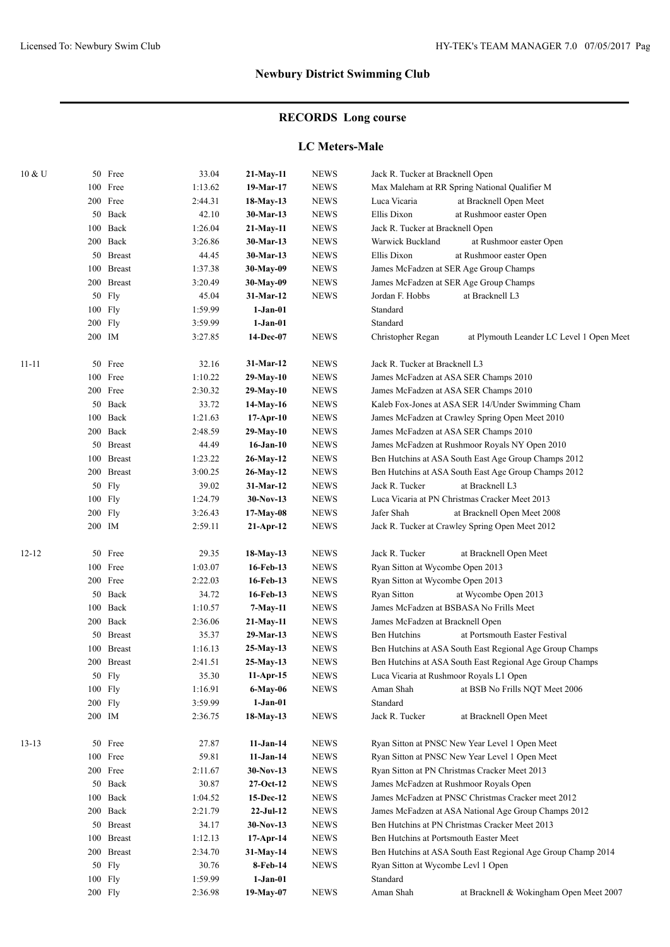# **RECORDS Long course**

### **LC Meters-Male**

| $10\;\mathrm{\&\;U}$ |     | 50 Free       | 33.04   | 21-May-11    | <b>NEWS</b>  | Jack R. Tucker at Bracknell Open                                            |                                                              |
|----------------------|-----|---------------|---------|--------------|--------------|-----------------------------------------------------------------------------|--------------------------------------------------------------|
|                      | 100 | Free          | 1:13.62 | 19-Mar-17    | <b>NEWS</b>  | Max Maleham at RR Spring National Qualifier M                               |                                                              |
|                      |     | 200 Free      | 2:44.31 | 18-May-13    | <b>NEWS</b>  | Luca Vicaria                                                                | at Bracknell Open Meet                                       |
|                      |     | 50 Back       | 42.10   | 30-Mar-13    | <b>NEWS</b>  | Ellis Dixon                                                                 | at Rushmoor easter Open                                      |
|                      |     | 100 Back      | 1:26.04 | 21-May-11    | <b>NEWS</b>  | Jack R. Tucker at Bracknell Open                                            |                                                              |
|                      |     | 200 Back      | 3:26.86 | 30-Mar-13    | <b>NEWS</b>  | Warwick Buckland                                                            | at Rushmoor easter Open                                      |
|                      | 50  | <b>Breast</b> | 44.45   | 30-Mar-13    | <b>NEWS</b>  | Ellis Dixon                                                                 | at Rushmoor easter Open                                      |
|                      |     | 100 Breast    | 1:37.38 | 30-May-09    | ${\bf NEWS}$ | James McFadzen at SER Age Group Champs                                      |                                                              |
|                      |     | 200 Breast    | 3:20.49 | 30-May-09    | ${\bf NEWS}$ | James McFadzen at SER Age Group Champs                                      |                                                              |
|                      |     | 50 Fly        | 45.04   | 31-Mar-12    | <b>NEWS</b>  | Jordan F. Hobbs                                                             | at Bracknell L3                                              |
|                      |     | 100 Fly       | 1:59.99 | $1-Jan-01$   |              | Standard                                                                    |                                                              |
|                      |     | $200$ Fly     | 3:59.99 | $1-Jan-01$   |              | Standard                                                                    |                                                              |
|                      |     | 200 IM        | 3:27.85 | 14-Dec-07    | <b>NEWS</b>  | Christopher Regan                                                           | at Plymouth Leander LC Level 1 Open Meet                     |
|                      |     |               |         |              |              |                                                                             |                                                              |
| $11 - 11$            |     | 50 Free       | 32.16   | 31-Mar-12    | <b>NEWS</b>  | Jack R. Tucker at Bracknell L3                                              |                                                              |
|                      |     | 100 Free      | 1:10.22 | $29-May-10$  | <b>NEWS</b>  | James McFadzen at ASA SER Champs 2010                                       |                                                              |
|                      |     | 200 Free      | 2:30.32 | 29-May-10    | <b>NEWS</b>  | James McFadzen at ASA SER Champs 2010                                       |                                                              |
|                      |     | 50 Back       | 33.72   | $14$ -May-16 | <b>NEWS</b>  |                                                                             | Kaleb Fox-Jones at ASA SER 14/Under Swimming Cham            |
|                      |     | 100 Back      | 1:21.63 | 17-Apr-10    | <b>NEWS</b>  | James McFadzen at Crawley Spring Open Meet 2010                             |                                                              |
|                      |     | 200 Back      | 2:48.59 | 29-May-10    | <b>NEWS</b>  | James McFadzen at ASA SER Champs 2010                                       |                                                              |
|                      |     | 50 Breast     | 44.49   | $16-Jan-10$  | <b>NEWS</b>  | James McFadzen at Rushmoor Royals NY Open 2010                              |                                                              |
|                      |     | 100 Breast    | 1:23.22 | 26-May-12    | <b>NEWS</b>  |                                                                             | Ben Hutchins at ASA South East Age Group Champs 2012         |
|                      |     | 200 Breast    | 3:00.25 | 26-May-12    | <b>NEWS</b>  |                                                                             | Ben Hutchins at ASA South East Age Group Champs 2012         |
|                      |     | 50 Fly        | 39.02   | 31-Mar-12    | <b>NEWS</b>  | Jack R. Tucker                                                              | at Bracknell L3                                              |
|                      |     | $100$ Fly     | 1:24.79 | $30-Nov-13$  | <b>NEWS</b>  | Luca Vicaria at PN Christmas Cracker Meet 2013                              |                                                              |
|                      |     | 200 Fly       | 3:26.43 | 17-May-08    | <b>NEWS</b>  | Jafer Shah                                                                  | at Bracknell Open Meet 2008                                  |
|                      |     | 200 IM        | 2:59.11 | 21-Apr-12    | <b>NEWS</b>  | Jack R. Tucker at Crawley Spring Open Meet 2012                             |                                                              |
|                      |     |               |         |              |              |                                                                             |                                                              |
| $12 - 12$            |     | 50 Free       | 29.35   | 18-May-13    | <b>NEWS</b>  | Jack R. Tucker                                                              | at Bracknell Open Meet                                       |
|                      |     | 100 Free      | 1:03.07 | 16-Feb-13    | <b>NEWS</b>  | Ryan Sitton at Wycombe Open 2013                                            |                                                              |
|                      |     | 200 Free      | 2:22.03 | 16-Feb-13    | <b>NEWS</b>  | Ryan Sitton at Wycombe Open 2013                                            |                                                              |
|                      |     | 50 Back       | 34.72   | 16-Feb-13    | <b>NEWS</b>  | Ryan Sitton                                                                 | at Wycombe Open 2013                                         |
|                      |     | 100 Back      | 1:10.57 | 7-May-11     | <b>NEWS</b>  | James McFadzen at BSBASA No Frills Meet<br>James McFadzen at Bracknell Open |                                                              |
|                      |     | 200 Back      | 2:36.06 | 21-May-11    | <b>NEWS</b>  |                                                                             |                                                              |
|                      |     | 50 Breast     | 35.37   | 29-Mar-13    | <b>NEWS</b>  | Ben Hutchins                                                                | at Portsmouth Easter Festival                                |
|                      |     | 100 Breast    | 1:16.13 | $25-May-13$  | <b>NEWS</b>  |                                                                             | Ben Hutchins at ASA South East Regional Age Group Champs     |
|                      |     | 200 Breast    | 2:41.51 | $25-May-13$  | <b>NEWS</b>  | Ben Hutchins at ASA South East Regional Age Group Champs                    |                                                              |
|                      |     | 50 Fly        | 35.30   | 11-Apr-15    | <b>NEWS</b>  | Luca Vicaria at Rushmoor Royals L1 Open                                     |                                                              |
|                      |     | 100 Fly       | 1:16.91 | 6-May-06     | <b>NEWS</b>  | Aman Shah                                                                   | at BSB No Frills NQT Meet 2006                               |
|                      |     | 200 Fly       | 3:59.99 | $1-Jan-01$   |              | Standard                                                                    |                                                              |
|                      |     | 200 IM        | 2:36.75 | 18-May-13    | <b>NEWS</b>  | Jack R. Tucker                                                              | at Bracknell Open Meet                                       |
|                      |     |               |         |              |              |                                                                             |                                                              |
| $13-13$              |     | 50 Free       | 27.87   | $11-Jan-14$  | <b>NEWS</b>  | Ryan Sitton at PNSC New Year Level 1 Open Meet                              |                                                              |
|                      |     | 100 Free      | 59.81   | $11-Jan-14$  | <b>NEWS</b>  | Ryan Sitton at PNSC New Year Level 1 Open Meet                              |                                                              |
|                      |     | 200 Free      | 2:11.67 | 30-Nov-13    | <b>NEWS</b>  | Ryan Sitton at PN Christmas Cracker Meet 2013                               |                                                              |
|                      |     | 50 Back       | 30.87   | 27-Oct-12    | <b>NEWS</b>  | James McFadzen at Rushmoor Royals Open                                      |                                                              |
|                      |     | 100 Back      | 1:04.52 | 15-Dec-12    | <b>NEWS</b>  |                                                                             | James McFadzen at PNSC Christmas Cracker meet 2012           |
|                      |     | 200 Back      | 2:21.79 | $22-JuI-12$  | <b>NEWS</b>  |                                                                             | James McFadzen at ASA National Age Group Champs 2012         |
|                      |     | 50 Breast     | 34.17   | 30-Nov-13    | <b>NEWS</b>  | Ben Hutchins at PN Christmas Cracker Meet 2013                              |                                                              |
|                      |     | 100 Breast    | 1:12.13 | 17-Apr-14    | <b>NEWS</b>  | Ben Hutchins at Portsmouth Easter Meet                                      |                                                              |
|                      |     | 200 Breast    | 2:34.70 | 31-May-14    | <b>NEWS</b>  |                                                                             | Ben Hutchins at ASA South East Regional Age Group Champ 2014 |
|                      |     | 50 Fly        | 30.76   | 8-Feb-14     | <b>NEWS</b>  | Ryan Sitton at Wycombe Levl 1 Open                                          |                                                              |
|                      |     | 100 Fly       | 1:59.99 | $1-Jan-01$   |              | Standard                                                                    |                                                              |
|                      |     | 200 Fly       | 2:36.98 | 19-May-07    | NEWS         | Aman Shah                                                                   | at Bracknell & Wokingham Open Meet 2007                      |
|                      |     |               |         |              |              |                                                                             |                                                              |